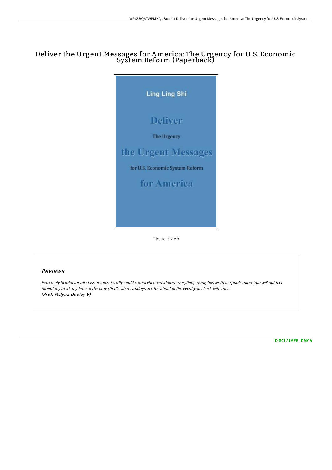# Deliver the Urgent Messages for America: The Urgency for U.S. Economic System Reform (Paperback)



Filesize: 8.2 MB

## Reviews

Extremely helpful for all class of folks. <sup>I</sup> really could comprehended almost everything using this written <sup>e</sup> publication. You will not feel monotony at at any time of the time (that's what catalogs are for about in the event you check with me). (Prof. Melyna Dooley V)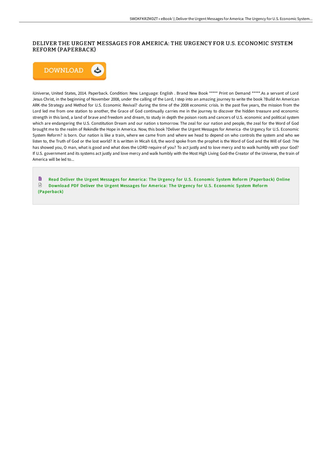### DELIVER THE URGENT MESSAGES FOR AMERICA: THE URGENCY FOR U.S. ECONOMIC SYSTEM REFORM (PAPERBACK)



iUniverse, United States, 2014. Paperback. Condition: New. Language: English . Brand New Book \*\*\*\*\* Print on Demand \*\*\*\*\*.As a servant of Lord Jesus Christ, in the beginning of November 2008, under the calling of the Lord, I step into an amazing journey to write the book ?Build An American ARK-the Strategy and Method for U.S. Economic Revival? during the time of the 2008 economic crisis. In the past five years, the mission from the Lord led me from one station to another, the Grace of God continually carries me in the journey to discover the hidden treasure and economic strength in this land, a land of brave and freedom and dream, to study in depth the poison roots and cancers of U.S. economic and political system which are endangering the U.S. Constitution Dream and our nation s tomorrow. The zeal for our nation and people, the zeal for the Word of God brought me to the realm of Rekindle the Hope in America. Now, this book ?Deliver the Urgent Messages for America -the Urgency for U.S. Economic System Reform? is born. Our nation is like a train, where we came from and where we head to depend on who controls the system and who we listen to, the Truth of God or the lost world? It is written in Micah 6:8, the word spoke from the prophet is the Word of God and the Will of God: ?He has showed you, O man, what is good and what does the LORD require of you? To act justly and to love mercy and to walk humbly with your God? If U.S. government and its systems act justly and love mercy and walk humbly with the Most High Living God-the Creator of the Universe, the train of America will be led to...

B Read Deliver the Urgent Messages for America: The Urgency for U.S. Economic System Reform [\(Paperback\)](http://www.bookdirs.com/deliver-the-urgent-messages-for-america-the-urge.html) Online  $\mathbb{P}$ Download PDF Deliver the Urgent Messages for America: The Urgency for U.S. Economic System Reform [\(Paperback\)](http://www.bookdirs.com/deliver-the-urgent-messages-for-america-the-urge.html)